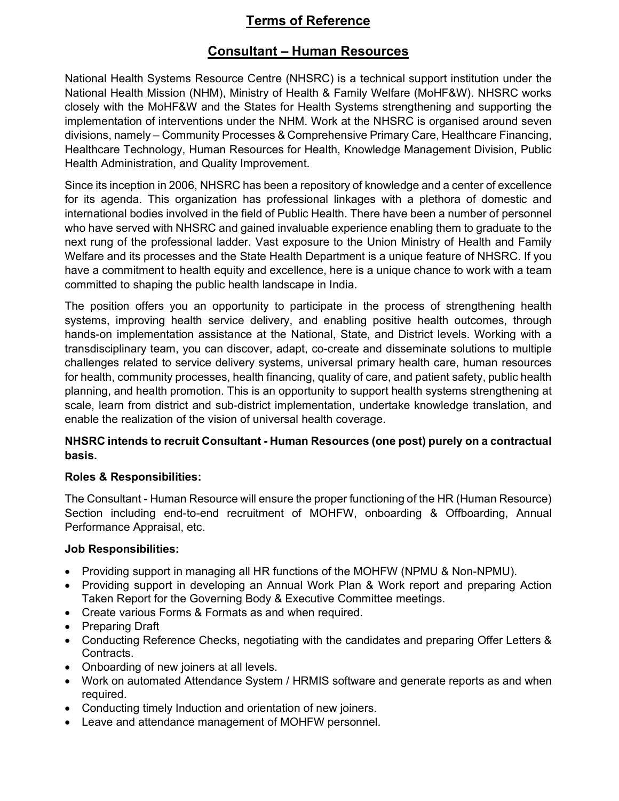## Terms of Reference

### Consultant – Human Resources

National Health Systems Resource Centre (NHSRC) is a technical support institution under the National Health Mission (NHM), Ministry of Health & Family Welfare (MoHF&W). NHSRC works closely with the MoHF&W and the States for Health Systems strengthening and supporting the implementation of interventions under the NHM. Work at the NHSRC is organised around seven divisions, namely – Community Processes & Comprehensive Primary Care, Healthcare Financing, Healthcare Technology, Human Resources for Health, Knowledge Management Division, Public Health Administration, and Quality Improvement.

Since its inception in 2006, NHSRC has been a repository of knowledge and a center of excellence for its agenda. This organization has professional linkages with a plethora of domestic and international bodies involved in the field of Public Health. There have been a number of personnel who have served with NHSRC and gained invaluable experience enabling them to graduate to the next rung of the professional ladder. Vast exposure to the Union Ministry of Health and Family Welfare and its processes and the State Health Department is a unique feature of NHSRC. If you have a commitment to health equity and excellence, here is a unique chance to work with a team committed to shaping the public health landscape in India.

The position offers you an opportunity to participate in the process of strengthening health systems, improving health service delivery, and enabling positive health outcomes, through hands-on implementation assistance at the National, State, and District levels. Working with a transdisciplinary team, you can discover, adapt, co-create and disseminate solutions to multiple challenges related to service delivery systems, universal primary health care, human resources for health, community processes, health financing, quality of care, and patient safety, public health planning, and health promotion. This is an opportunity to support health systems strengthening at scale, learn from district and sub-district implementation, undertake knowledge translation, and enable the realization of the vision of universal health coverage.

#### NHSRC intends to recruit Consultant - Human Resources (one post) purely on a contractual basis.

#### Roles & Responsibilities:

The Consultant - Human Resource will ensure the proper functioning of the HR (Human Resource) Section including end-to-end recruitment of MOHFW, onboarding & Offboarding, Annual Performance Appraisal, etc.

#### Job Responsibilities:

- Providing support in managing all HR functions of the MOHFW (NPMU & Non-NPMU).
- Providing support in developing an Annual Work Plan & Work report and preparing Action Taken Report for the Governing Body & Executive Committee meetings.
- Create various Forms & Formats as and when required.
- Preparing Draft
- Conducting Reference Checks, negotiating with the candidates and preparing Offer Letters & Contracts.
- Onboarding of new joiners at all levels.
- Work on automated Attendance System / HRMIS software and generate reports as and when required.
- Conducting timely Induction and orientation of new joiners.
- Leave and attendance management of MOHFW personnel.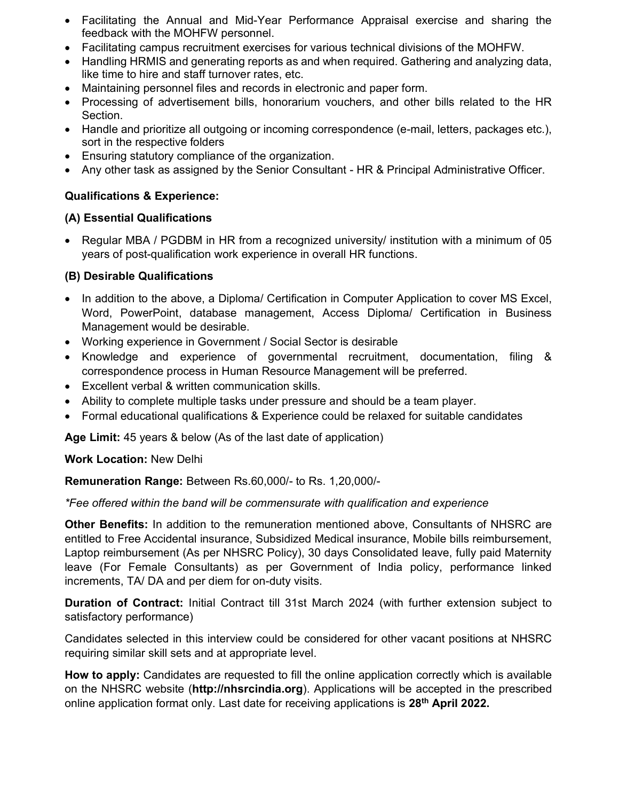- Facilitating the Annual and Mid-Year Performance Appraisal exercise and sharing the feedback with the MOHFW personnel.
- Facilitating campus recruitment exercises for various technical divisions of the MOHFW.
- Handling HRMIS and generating reports as and when required. Gathering and analyzing data, like time to hire and staff turnover rates, etc.
- Maintaining personnel files and records in electronic and paper form.
- Processing of advertisement bills, honorarium vouchers, and other bills related to the HR Section.
- Handle and prioritize all outgoing or incoming correspondence (e-mail, letters, packages etc.), sort in the respective folders
- Ensuring statutory compliance of the organization.
- Any other task as assigned by the Senior Consultant HR & Principal Administrative Officer.

#### Qualifications & Experience:

#### (A) Essential Qualifications

• Regular MBA / PGDBM in HR from a recognized university/ institution with a minimum of 05 years of post-qualification work experience in overall HR functions.

#### (B) Desirable Qualifications

- In addition to the above, a Diploma/ Certification in Computer Application to cover MS Excel, Word, PowerPoint, database management, Access Diploma/ Certification in Business Management would be desirable.
- Working experience in Government / Social Sector is desirable
- Knowledge and experience of governmental recruitment, documentation, filing & correspondence process in Human Resource Management will be preferred.
- Excellent verbal & written communication skills.
- Ability to complete multiple tasks under pressure and should be a team player.
- Formal educational qualifications & Experience could be relaxed for suitable candidates

Age Limit: 45 years & below (As of the last date of application)

#### Work Location: New Delhi

Remuneration Range: Between Rs.60,000/- to Rs. 1,20,000/-

#### \*Fee offered within the band will be commensurate with qualification and experience

Other Benefits: In addition to the remuneration mentioned above, Consultants of NHSRC are entitled to Free Accidental insurance, Subsidized Medical insurance, Mobile bills reimbursement, Laptop reimbursement (As per NHSRC Policy), 30 days Consolidated leave, fully paid Maternity leave (For Female Consultants) as per Government of India policy, performance linked increments, TA/ DA and per diem for on-duty visits.

Duration of Contract: Initial Contract till 31st March 2024 (with further extension subject to satisfactory performance)

Candidates selected in this interview could be considered for other vacant positions at NHSRC requiring similar skill sets and at appropriate level.

How to apply: Candidates are requested to fill the online application correctly which is available on the NHSRC website (http://nhsrcindia.org). Applications will be accepted in the prescribed online application format only. Last date for receiving applications is 28<sup>th</sup> April 2022.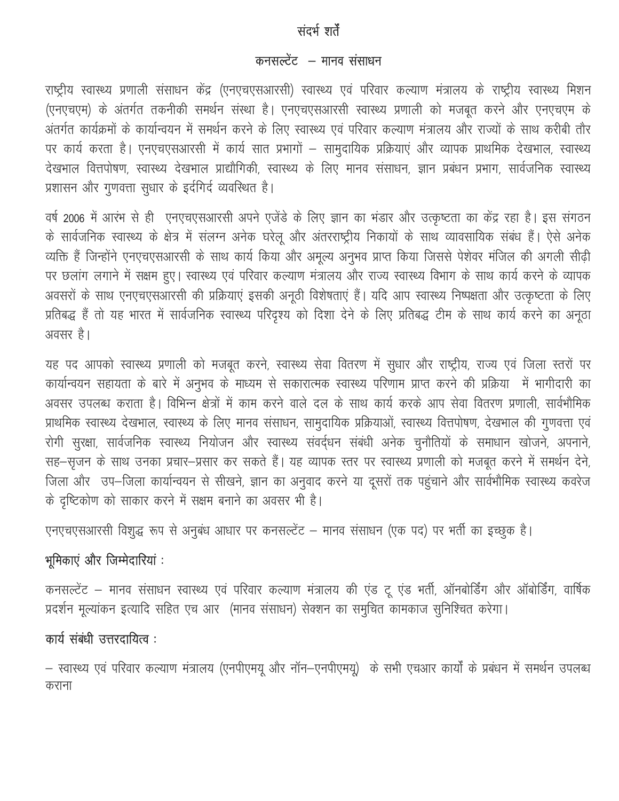## संदर्भ शर्तें

## कनसल्टेंट – मानव संसाधन

राष्ट्रीय स्वास्थ्य प्रणाली संसाधन केंद्र (एनएचएसआरसी) स्वास्थ्य एवं परिवार कल्याण मंत्रालय के राष्ट्रीय स्वास्थ्य मिशन (एनएचएम) के अंतर्गत तकनीकी समर्थन संस्था है। एनएचएसआरसी स्वास्थ्य प्रणाली को मजबूत करने और एनएचएम के अंतर्गत कार्यक्रमों के कार्यान्वयन में समर्थन करने के लिए स्वास्थ्य एवं परिवार कल्याण मंत्रालय और राज्यों के साथ करीबी तौर पर कार्य करता है। एनएचएसआरसी में कार्य सात प्रभागों – सामुदायिक प्रक्रियाएं और व्यापक प्राथमिक देखभाल, स्वास्थ्य देखभाल वित्तपोषण, स्वास्थ्य देखभाल प्राद्यौगिकी, स्वास्थ्य के लिए मानव संसाधन, ज्ञान प्रबंधन प्रभाग, सार्वजनिक स्वास्थ्य प्रशासन और गुणवत्ता सुधार के इर्दगिर्द व्यवस्थित है।

वर्ष 2006 में आरंभ से ही एनएचएसआरसी अपने एजेंडे के लिए ज्ञान का भंडार और उत्कृष्टता का केंद्र रहा है। इस संगठन के सार्वजनिक स्वास्थ्य के क्षेत्र में संलग्न अनेक घरेलू और अंतरराष्ट्रीय निकायों के साथ व्यावसायिक संबंध हैं। ऐसे अनेक व्यक्ति हैं जिन्होंने एनएचएसआरसी के साथ कार्य किया और अमूल्य अनुभव प्राप्त किया जिससे पेशेवर मंजिल की अगली सीढ़ी पर छलांग लगाने में सक्षम हुए। स्वास्थ्य एवं परिवार कल्याण मंत्रालय और राज्य स्वास्थ्य विभाग के साथ कार्य करने के व्यापक अवसरों के साथ एनएचएसआरसी की प्रक्रियाएं इसकी अनूठी विशेषताएं हैं। यदि आप स्वास्थ्य निष्पक्षता और उत्कृष्टता के लिए प्रतिबद्ध हैं तो यह भारत में सार्वजनिक स्वास्थ्य परिदृश्य को दिशा देने के लिए प्रतिबद्ध टीम के साथ कार्य करने का अनूठा अवसर है।

यह पद आपको स्वास्थ्य प्रणाली को मजबूत करने, स्वास्थ्य सेवा वितरण में सुधार और राष्ट्रीय, राज्य एवं जिला स्तरों पर कार्यान्वयन सहायता के बारे में अनुभव के माध्यम से सकारात्मक स्वास्थ्य परिणाम प्राप्त करने की प्रक्रिया में भागीदारी का अवसर उपलब्ध कराता है। विभिन्न क्षेत्रों में काम करने वाले दल के साथ कार्य करके आप सेवा वितरण प्रणाली, सार्वभौमिक प्राथमिक स्वास्थ्य देखभाल, स्वास्थ्य के लिए मानव संसाधन, सामुदायिक प्रक्रियाओं, स्वास्थ्य वित्तपोषण, देखभाल की गुणवत्ता एवं रोगी सुरक्षा, सार्वजनिक स्वास्थ्य नियोजन और स्वास्थ्य संवर्द्धन संबंधी अनेक चुनौतियों के समाधान खोजने, अपनाने, सह-सृजन के साथ उनका प्रचार-प्रसार कर सकते हैं। यह व्यापक स्तर पर स्वास्थ्य प्रणाली को मजबूत करने में समर्थन देने, जिला और उप-जिला कार्यान्वयन से सीखने, ज्ञान का अनुवाद करने या दूसरों तक पहुंचाने और सार्वभौमिक स्वास्थ्य कवरेज के दृष्टिकोण को साकार करने में सक्षम बनाने का अवसर भी है।

एनएचएसआरसी विशुद्ध रूप से अनुबंध आधार पर कनसल्टेंट – मानव संसाधन (एक पद) पर भर्ती का इच्छुक है।

## भूमिकाएं और जिम्मेदारियां :

कनसल्टेंट – मानव संसाधन स्वास्थ्य एवं परिवार कल्याण मंत्रालय की एंड टू एंड भर्ती, ऑनबोर्डिंग और ऑबोर्डिंग, वार्षिक प्रदर्शन मूल्यांकन इत्यादि सहित एच आर (मानव संसाधन) सेक्शन का समुचित कामकाज सुनिश्चित करेगा।

## कार्य संबंधी उत्तरदायित्व:

– स्वास्थ्य एवं परिवार कल्याण मंत्रालय (एनपीएमयू और नॉन–एनपीएमयू)) के सभी एचआर कार्यों के प्रबंधन में समर्थन उपलब्ध कराना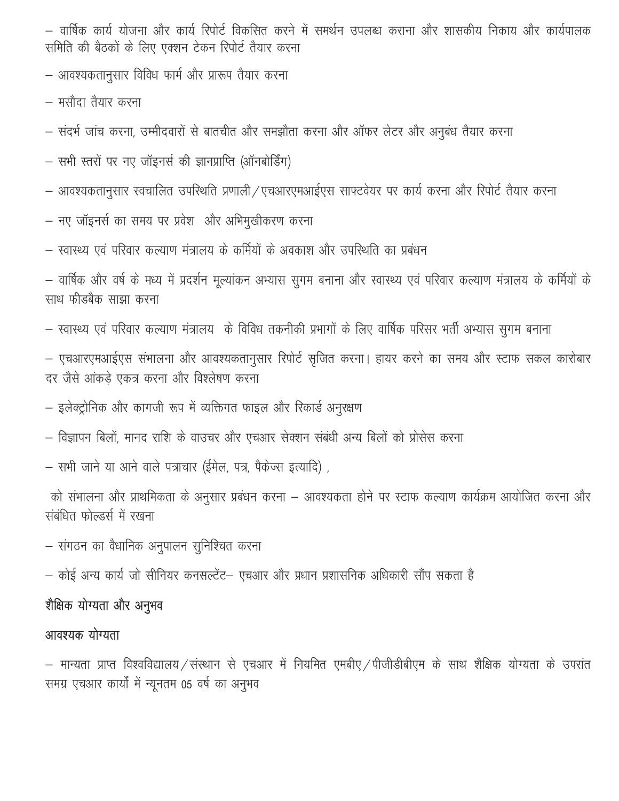– वार्षिक कार्य योजना और कार्य रिपोर्ट विकसित करने में समर्थन उपलब्ध कराना और शासकीय निकाय और कार्यपालक समिति की बैठकों के लिए एक्शन टेकन रिपोर्ट तैयार करना

– आवश्यकतानुसार विविध फार्म और प्रारूप तैयार करना

– मसौदा तैयार करना

- संदर्भ जांच करना, उम्मीदवारों से बातचीत और समझौता करना और ऑफर लेटर और अनुबंध तैयार करना
- सभी स्तरों पर नए जॉइनर्स की ज्ञानप्राप्ति (ऑनबोर्डिंग)
- आवश्यकतानुसार स्वचालित उपस्थिति प्रणाली/एचआरएमआईएस साफ्टवेयर पर कार्य करना और रिपोर्ट तैयार करना
- नए जॉइनर्स का समय पर प्रवेश और अभिमुखीकरण करना
- स्वास्थ्य एवं परिवार कल्याण मंत्रालय के कर्मियों के अवकाश और उपस्थिति का प्रबंधन

– वार्षिक और वर्ष के मध्य में प्रदर्शन मूल्यांकन अभ्यास सुगम बनाना और स्वास्थ्य एवं परिवार कल्याण मंत्रालय के कर्मियों के साथ फीडबैक साझा करना

— स्वास्थ्य एवं परिवार कल्याण मंत्रालय) के विविध तकनीकी प्रभागों के लिए वार्षिक परिसर भर्ती अभ्यास सुगम बनाना

– एचआरएमआईएस संभालना और आवश्यकतानुसार रिपोर्ट सृजित करना। हायर करने का समय और स्टाफ सकल कारोबार दर जैसे आंकड़े एकत्र करना और विश्लेषण करना

— इलेक्ट्रोनिक और कागजी रूप में व्यक्तिगत फाइल और रिकार्ड अनुरक्षण

– विज्ञापन बिलों, मानद राशि के वाउचर और एचआर सेक्शन संबंधी अन्य बिलों को प्रोसेस करना

– सभी जाने या आने वाले पत्राचार (ईमेल, पत्र, पैकेज्स इत्यादि) ,

को संभालना और प्राथमिकता के अनुसार प्रबंधन करना – आवश्यकता होने पर स्टाफ कल्याण कार्यक्रम आयोजित करना और संबंधित फोल्डर्स में रखना

– संगठन का वैधानिक अनुपालन सुनिश्चित करना

– कोई अन्य कार्य जो सीनियर कनसल्टेंट– एचआर और प्रधान प्रशासनिक अधिकारी सौंप सकता है

# शैक्षिक योग्यता और अनुभव

### आवश्यक योग्यता

— मान्यता प्राप्त विश्वविद्यालय ⁄ संस्थान से एचआर में नियमित एमबीए ⁄ पीजीडीबीएम के साथ शैक्षिक योग्यता के उपरांत समग्र एचआर कार्यों में न्यूनतम 05 वर्ष का अनुभव